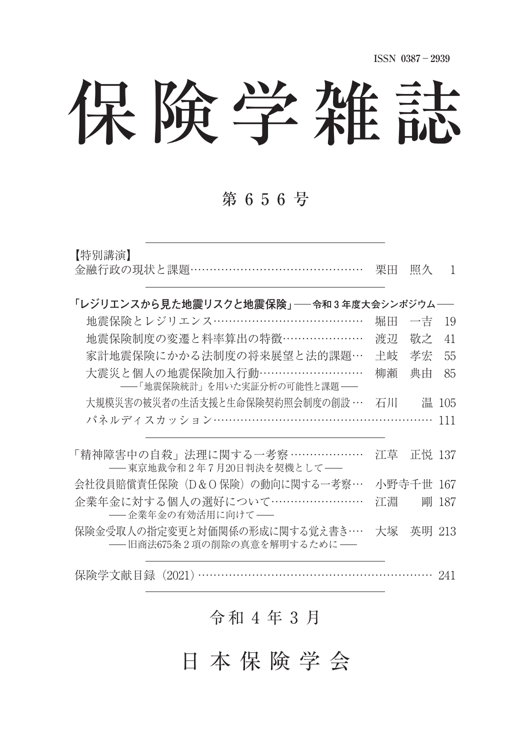# 保険学雑誌

## 第 6 5 6 号

| 【特別講演】<br>金融行政の現状と課題……………………………………                          | 栗田 | 照久        | $\mathbf{1}$ |
|-------------------------------------------------------------|----|-----------|--------------|
| 「レジリエンスから見た地震リスクと地震保険」──令和3年度大会シンポジウム──                     |    |           |              |
| 地震保険とレジリエンス…………………………………                                    | 堀田 | 一吉        | 19           |
| 地震保険制度の変遷と料率算出の特徴…………………                                    | 渡辺 | 敬之        | 41           |
| 家計地震保険にかかる法制度の将来展望と法的課題…                                    | 土岐 | 孝宏        | 55           |
| 大震災と個人の地震保険加入行動………………………<br>――「地震保険統計」を用いた実証分析の可能性と課題――     | 柳瀬 | 典由        | 85           |
| 大規模災害の被災者の生活支援と生命保険契約照会制度の創設 …                              | 石川 |           | 温 105        |
| パネルディスカッション………………………………………………                               |    |           | 111          |
| 「精神障害中の自殺」法理に関する一考察 ………………<br>―― 東京地裁令和2年7月20日判決を契機として――    | 江草 | 正悦 137    |              |
| 会社役員賠償責任保険(D&O 保険)の動向に関する一考察…                               |    | 小野寺千世 167 |              |
| 企業年金に対する個人の選好について……………………<br>――企業年金の有効活用に向けて――              | 江淵 |           | 剛 187        |
| 保険金受取人の指定変更と対価関係の形成に関する覚え書き…<br>――旧商法675条2項の削除の真意を解明するために―― | 大塚 | 英明 213    |              |
| 保険学文献目録 (2021)                                              |    |           | -241         |

## 令 和 ⚔ 年 ⚓ 月

日 本 保 険 学 会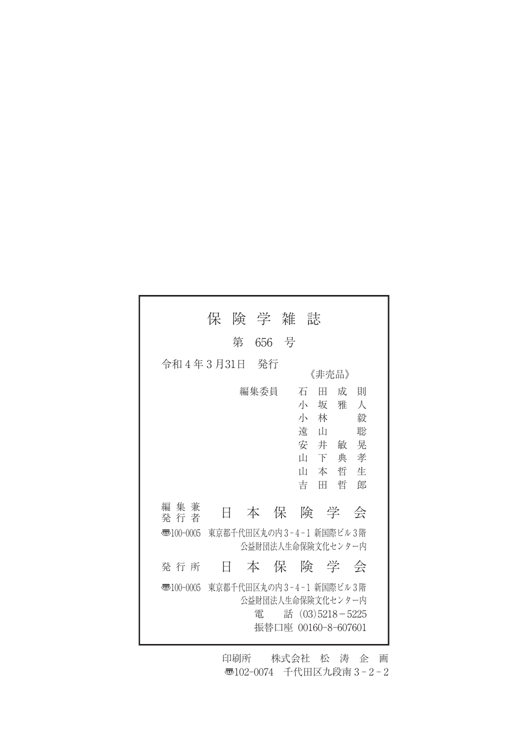|                          | 保 | 険 学 雑 |    | 誌                                                                                          |                                                                       |
|--------------------------|---|-------|----|--------------------------------------------------------------------------------------------|-----------------------------------------------------------------------|
|                          | 第 | 656   | 一号 |                                                                                            |                                                                       |
| 令和4年3月31日                |   | 発行    |    | 《非壳品》                                                                                      |                                                                       |
|                          |   | 編集委員  |    | 石<br>Ħ<br>小<br>坂<br>小<br>林<br>溒<br>- 11<br>安<br>井<br>Ш<br>下<br>Ш<br>本<br>吉<br>Ħ            | 成<br>一頁11<br>人<br>雅<br>毅<br>聡<br>晃<br>敏<br>孝<br>典<br>哲<br>牛<br>郎<br>哲 |
| 編 集 兼<br>発行者             | E | 本     |    | 保険学                                                                                        | 会                                                                     |
| $\overline{330}100-0005$ |   |       |    | 東京都千代田区丸の内3-4-1 新国際ビル3階<br>公益財団法人生命保険文化センター内                                               |                                                                       |
| 発行所                      | Ħ |       |    | 本 保 険 学                                                                                    | 会                                                                     |
| 枣100-0005                |   | 電     |    | 東京都千代田区丸の内3-4-1 新国際ビル3階<br>公益財団法人生命保険文化センター内<br>話 $(03)5218 - 5225$<br>振替口座 00160-8-607601 |                                                                       |

印刷所 株式会社 松 涛 企 画 〠102-0074 千代田区九段南 3 - 2 - 2